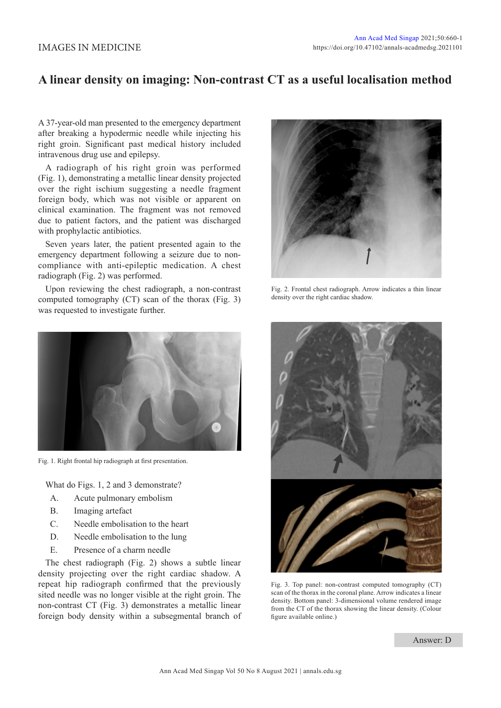## IMAGES IN MEDICINE

## **A linear density on imaging: Non-contrast CT as a useful localisation method**

A 37-year-old man presented to the emergency department after breaking a hypodermic needle while injecting his right groin. Significant past medical history included intravenous drug use and epilepsy.

A radiograph of his right groin was performed (Fig. 1), demonstrating a metallic linear density projected over the right ischium suggesting a needle fragment foreign body, which was not visible or apparent on clinical examination. The fragment was not removed due to patient factors, and the patient was discharged with prophylactic antibiotics.

Seven years later, the patient presented again to the emergency department following a seizure due to noncompliance with anti-epileptic medication. A chest radiograph (Fig. 2) was performed.

Upon reviewing the chest radiograph, a non-contrast computed tomography (CT) scan of the thorax (Fig. 3) was requested to investigate further.



Fig. 1. Right frontal hip radiograph at first presentation.

What do Figs. 1, 2 and 3 demonstrate?

- A. Acute pulmonary embolism
- B. Imaging artefact
- C. Needle embolisation to the heart
- D. Needle embolisation to the lung
- E. Presence of a charm needle

The chest radiograph (Fig. 2) shows a subtle linear density projecting over the right cardiac shadow. A repeat hip radiograph confirmed that the previously sited needle was no longer visible at the right groin. The non-contrast CT (Fig. 3) demonstrates a metallic linear foreign body density within a subsegmental branch of



Fig. 2. Frontal chest radiograph. Arrow indicates a thin linear density over the right cardiac shadow.



Fig. 3. Top panel: non-contrast computed tomography (CT) scan of the thorax in the coronal plane. Arrow indicates a linear density. Bottom panel: 3-dimensional volume rendered image from the CT of the thorax showing the linear density. (Colour figure available online.)